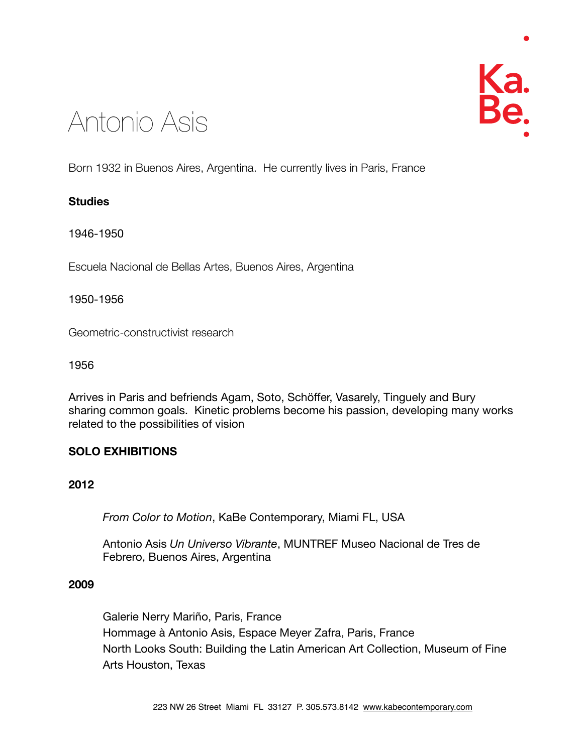# Antonio Asis

Born 1932 in Buenos Aires, Argentina. He currently lives in Paris, France

# **Studies**

1946-1950

Escuela Nacional de Bellas Artes, Buenos Aires, Argentina

# 1950-1956

Geometric-constructivist research

1956

Arrives in Paris and befriends Agam, Soto, Schöffer, Vasarely, Tinguely and Bury sharing common goals. Kinetic problems become his passion, developing many works related to the possibilities of vision

# **SOLO EXHIBITIONS**

# **2012**

 *From Color to Motion*, KaBe Contemporary, Miami FL, USA

 Antonio Asis *Un Universo Vibrante*, MUNTREF Museo Nacional de Tres de Febrero, Buenos Aires, Argentina

# **2009**

 Galerie Nerry Mariño, Paris, France Hommage à Antonio Asis, Espace Meyer Zafra, Paris, France North Looks South: Building the Latin American Art Collection, Museum of Fine Arts Houston, Texas

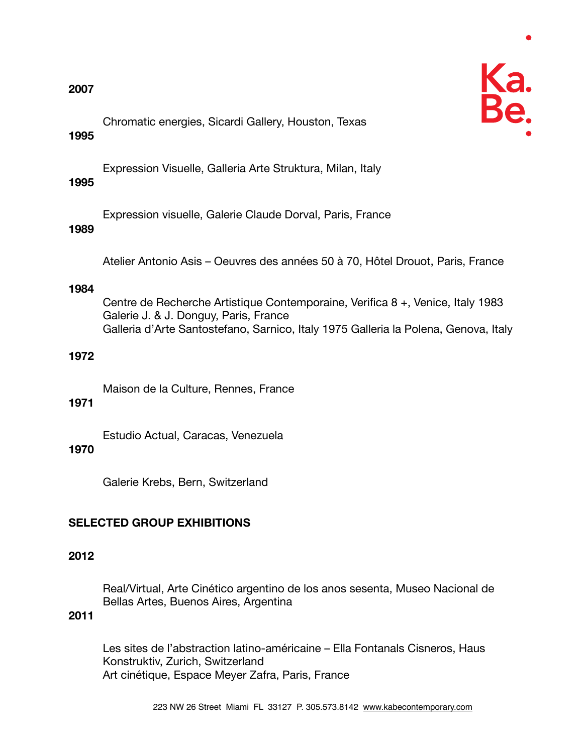

 Chromatic energies, Sicardi Gallery, Houston, Texas

# **1995**

 Expression Visuelle, Galleria Arte Struktura, Milan, Italy

# **1995**

 Expression visuelle, Galerie Claude Dorval, Paris, France

# **1989**

 Atelier Antonio Asis – Oeuvres des années 50 à 70, Hôtel Drouot, Paris, France

# **1984**

 Centre de Recherche Artistique Contemporaine, Verifica 8 +, Venice, Italy 1983 Galerie J. & J. Donguy, Paris, France Galleria d'Arte Santostefano, Sarnico, Italy 1975 Galleria la Polena, Genova, Italy

# **1972**

 Maison de la Culture, Rennes, France

# **1971**

 Estudio Actual, Caracas, Venezuela

# **1970**

 Galerie Krebs, Bern, Switzerland

# **SELECTED GROUP EXHIBITIONS**

# **2012**

 Real/Virtual, Arte Cinético argentino de los anos sesenta, Museo Nacional de Bellas Artes, Buenos Aires, Argentina

# **2011**

 Les sites de l'abstraction latino-américaine – Ella Fontanals Cisneros, Haus Konstruktiv, Zurich, Switzerland Art cinétique, Espace Meyer Zafra, Paris, France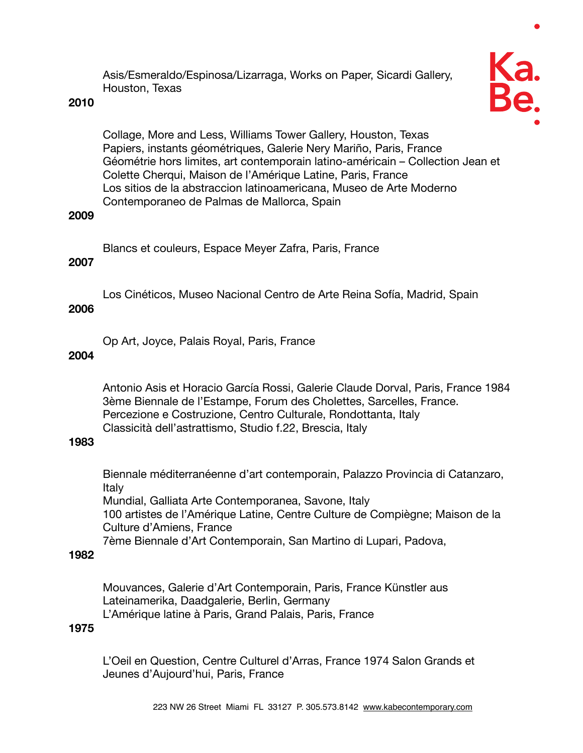Asis/Esmeraldo/Espinosa/Lizarraga, Works on Paper, Sicardi Gallery, Houston, Texas

#### **2010**



 Collage, More and Less, Williams Tower Gallery, Houston, Texas Papiers, instants géométriques, Galerie Nery Mariño, Paris, France Géométrie hors limites, art contemporain latino-américain – Collection Jean et Colette Cherqui, Maison de l'Amérique Latine, Paris, France Los sitios de la abstraccion latinoamericana, Museo de Arte Moderno Contemporaneo de Palmas de Mallorca, Spain

#### **2009**

 Blancs et couleurs, Espace Meyer Zafra, Paris, France

# **2007**

 Los Cinéticos, Museo Nacional Centro de Arte Reina Sofía, Madrid, Spain

# **2006**

 Op Art, Joyce, Palais Royal, Paris, France

#### **2004**

 Antonio Asis et Horacio García Rossi, Galerie Claude Dorval, Paris, France 1984 3ème Biennale de l'Estampe, Forum des Cholettes, Sarcelles, France. Percezione e Costruzione, Centro Culturale, Rondottanta, Italy Classicità dell'astrattismo, Studio f.22, Brescia, Italy

#### **1983**

 Biennale méditerranéenne d'art contemporain, Palazzo Provincia di Catanzaro, Italy Mundial, Galliata Arte Contemporanea, Savone, Italy

 100 artistes de l'Amérique Latine, Centre Culture de Compiègne; Maison de la Culture d'Amiens, France

 7ème Biennale d'Art Contemporain, San Martino di Lupari, Padova,

#### **1982**

 Mouvances, Galerie d'Art Contemporain, Paris, France Künstler aus Lateinamerika, Daadgalerie, Berlin, Germany L'Amérique latine à Paris, Grand Palais, Paris, France

# **1975**

 L'Oeil en Question, Centre Culturel d'Arras, France 1974 Salon Grands et Jeunes d'Aujourd'hui, Paris, France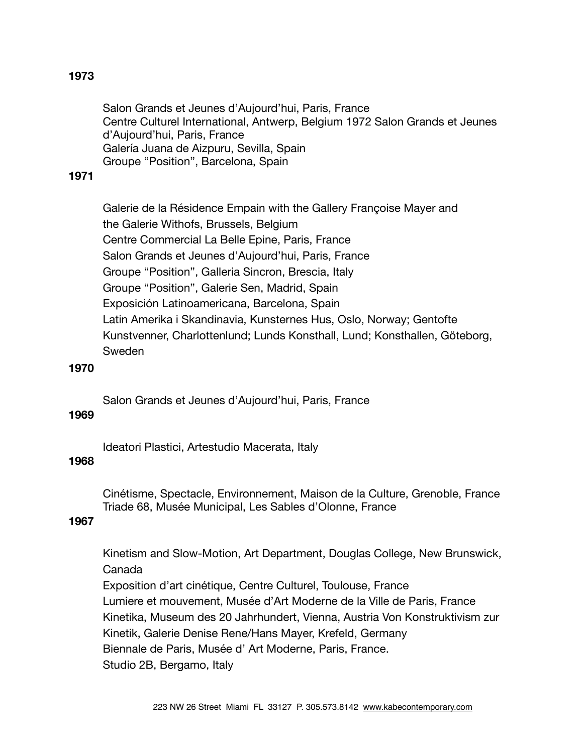# **1973**

 Salon Grands et Jeunes d'Aujourd'hui, Paris, France Centre Culturel International, Antwerp, Belgium 1972 Salon Grands et Jeunes d'Aujourd'hui, Paris, France Galería Juana de Aizpuru, Sevilla, Spain Groupe "Position", Barcelona, Spain

#### **1971**

 Galerie de la Résidence Empain with the Gallery Françoise Mayer and the Galerie Withofs, Brussels, Belgium Centre Commercial La Belle Epine, Paris, France Salon Grands et Jeunes d'Aujourd'hui, Paris, France Groupe "Position", Galleria Sincron, Brescia, Italy Groupe "Position", Galerie Sen, Madrid, Spain Exposición Latinoamericana, Barcelona, Spain Latin Amerika i Skandinavia, Kunsternes Hus, Oslo, Norway; Gentofte Kunstvenner, Charlottenlund; Lunds Konsthall, Lund; Konsthallen, Göteborg, Sweden

#### **1970**

 Salon Grands et Jeunes d'Aujourd'hui, Paris, France

#### **1969**

 Ideatori Plastici, Artestudio Macerata, Italy

# **1968**

 Cinétisme, Spectacle, Environnement, Maison de la Culture, Grenoble, France Triade 68, Musée Municipal, Les Sables d'Olonne, France

# **1967**

 Kinetism and Slow-Motion, Art Department, Douglas College, New Brunswick, Canada

 Exposition d'art cinétique, Centre Culturel, Toulouse, France Lumiere et mouvement, Musée d'Art Moderne de la Ville de Paris, France Kinetika, Museum des 20 Jahrhundert, Vienna, Austria Von Konstruktivism zur Kinetik, Galerie Denise Rene/Hans Mayer, Krefeld, Germany Biennale de Paris, Musée d' Art Moderne, Paris, France. Studio 2B, Bergamo, Italy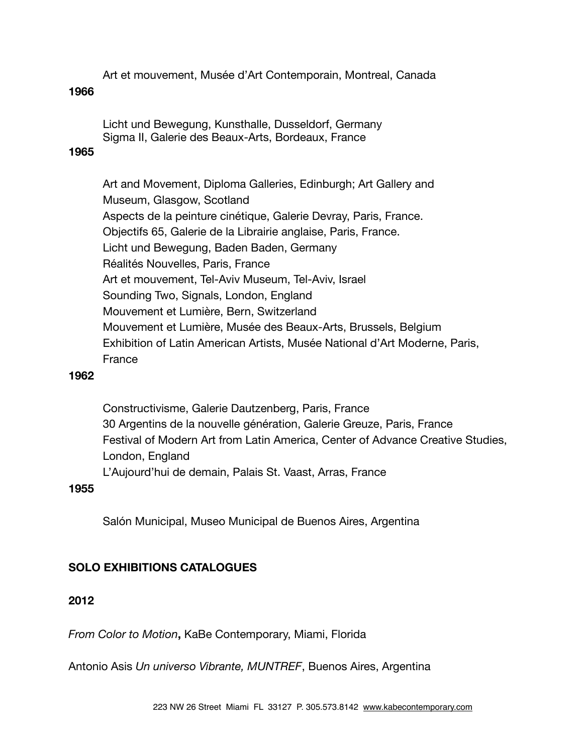Art et mouvement, Musée d'Art Contemporain, Montreal, Canada

#### **1966**

 Licht und Bewegung, Kunsthalle, Dusseldorf, Germany Sigma II, Galerie des Beaux-Arts, Bordeaux, France

#### **1965**

 Art and Movement, Diploma Galleries, Edinburgh; Art Gallery and Museum, Glasgow, Scotland Aspects de la peinture cinétique, Galerie Devray, Paris, France. Objectifs 65, Galerie de la Librairie anglaise, Paris, France. Licht und Bewegung, Baden Baden, Germany Réalités Nouvelles, Paris, France Art et mouvement, Tel-Aviv Museum, Tel-Aviv, Israel Sounding Two, Signals, London, England Mouvement et Lumière, Bern, Switzerland Mouvement et Lumière, Musée des Beaux-Arts, Brussels, Belgium Exhibition of Latin American Artists, Musée National d'Art Moderne, Paris, France

#### **1962**

 Constructivisme, Galerie Dautzenberg, Paris, France 30 Argentins de la nouvelle génération, Galerie Greuze, Paris, France Festival of Modern Art from Latin America, Center of Advance Creative Studies, London, England L'Aujourd'hui de demain, Palais St. Vaast, Arras, France

#### **1955**

 Salón Municipal, Museo Municipal de Buenos Aires, Argentina

# **SOLO EXHIBITIONS CATALOGUES**

# **2012**

*From Color to Motion***,** KaBe Contemporary, Miami, Florida

Antonio Asis *Un universo Vibrante, MUNTREF*, Buenos Aires, Argentina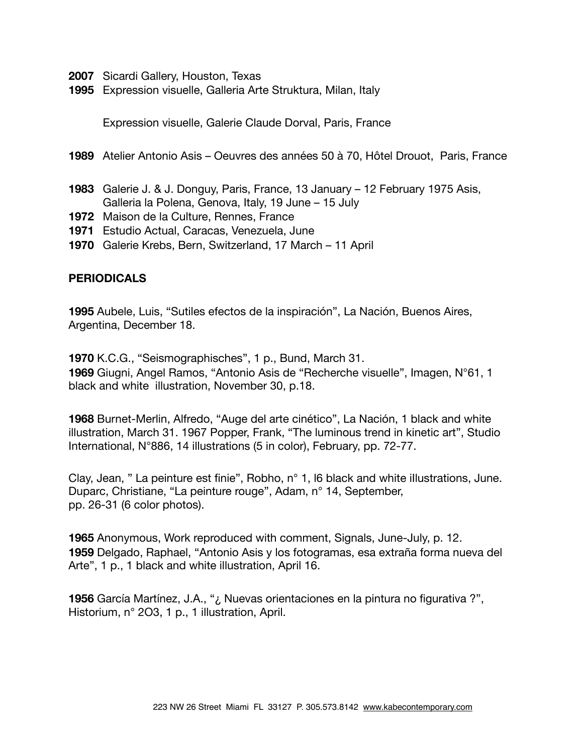- **2007** Sicardi Gallery, Houston, Texas
- **1995** Expression visuelle, Galleria Arte Struktura, Milan, Italy

Expression visuelle, Galerie Claude Dorval, Paris, France

- **1989** Atelier Antonio Asis Oeuvres des années 50 à 70, Hôtel Drouot, Paris, France
- **1983** Galerie J. & J. Donguy, Paris, France, 13 January 12 February 1975 Asis, Galleria la Polena, Genova, Italy, 19 June – 15 July
- **1972** Maison de la Culture, Rennes, France
- **1971** Estudio Actual, Caracas, Venezuela, June
- **1970** Galerie Krebs, Bern, Switzerland, 17 March 11 April

#### **PERIODICALS**

**1995** Aubele, Luis, "Sutiles efectos de la inspiración", La Nación, Buenos Aires, Argentina, December 18.

**1970** K.C.G., "Seismographisches", 1 p., Bund, March 31. **1969** Giugni, Angel Ramos, "Antonio Asis de "Recherche visuelle", Imagen, N°61, 1 black and white illustration, November 30, p.18.

**1968** Burnet-Merlin, Alfredo, "Auge del arte cinético", La Nación, 1 black and white illustration, March 31. 1967 Popper, Frank, "The luminous trend in kinetic art", Studio International, N°886, 14 illustrations (5 in color), February, pp. 72-77.

Clay, Jean, " La peinture est finie", Robho, n° 1, l6 black and white iIlustrations, June. Duparc, Christiane, "La peinture rouge", Adam, n° 14, September, pp. 26-31 (6 color photos).

**1965** Anonymous, Work reproduced with comment, Signals, June-July, p. 12. **1959** Delgado, Raphael, "Antonio Asis y los fotogramas, esa extraña forma nueva del Arte", 1 p., 1 black and white illustration, April 16.

**1956** García Martínez, J.A., "¿ Nuevas orientaciones en la pintura no figurativa ?", Historium, n° 2O3, 1 p., 1 illustration, April.